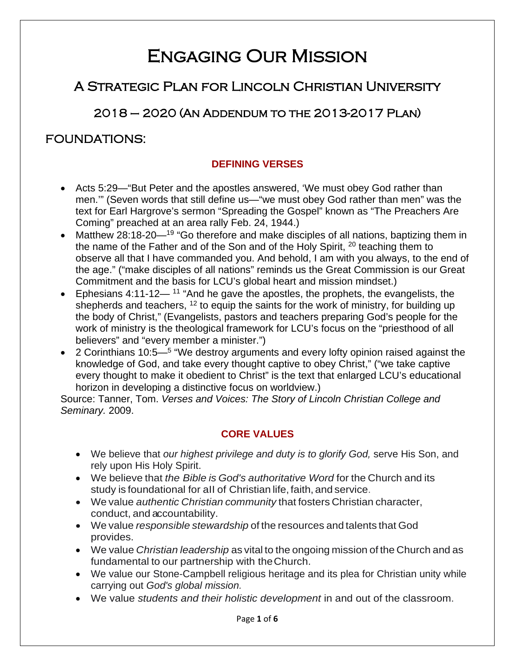# Engaging Our Mission

# A Strategic Plan for Lincoln Christian University

2018 – 2020 (An Addendum to the 2013-2017 Plan)

# FOUNDATIONS:

## **DEFINING VERSES**

- Acts 5:29—"But Peter and the apostles answered, 'We must obey God rather than men.'" (Seven words that still define us—"we must obey God rather than men" was the text for Earl Hargrove's sermon "Spreading the Gospel" known as "The Preachers Are Coming" preached at an area rally Feb. 24, 1944.)
- Matthew 28:18-20—<sup>19</sup> "Go therefore and make disciples of all nations, baptizing them in the name of the Father and of the Son and of the Holy Spirit, <sup>20</sup> teaching them to observe all that I have commanded you. And behold, I am with you always, to the end of the age." ("make disciples of all nations" reminds us the Great Commission is our Great Commitment and the basis for LCU's global heart and mission mindset.)
- Ephesians 4:11-12—<sup>11</sup> "And he gave the apostles, the prophets, the evangelists, the shepherds and teachers,  $12$  to equip the saints for the work of ministry, for building up the body of Christ," (Evangelists, pastors and teachers preparing God's people for the work of ministry is the theological framework for LCU's focus on the "priesthood of all believers" and "every member a minister.")
- 2 Corinthians 10:5—<sup>5</sup> "We destroy arguments and every lofty opinion raised against the knowledge of God, and take every thought captive to obey Christ," ("we take captive every thought to make it obedient to Christ" is the text that enlarged LCU's educational horizon in developing a distinctive focus on worldview.)

Source: Tanner, Tom. *Verses and Voices: The Story of Lincoln Christian College and Seminary.* 2009.

## **CORE VALUES**

- We believe that *our highest privilege and duty is to glorify God,* serve His Son, and rely upon His Holy Spirit.
- We believe that *the Bible is God's authoritative Word* for the Church and its study is foundational for aII of Christian life, faith, and service.
- We value *authentic Christian community* that fosters Christian character, conduct, and accountability.
- We value *responsible stewardship* of the resources and talents that God provides.
- We value *Christian leadership* as vital to the ongoing mission of the Church and as fundamental to our partnership with theChurch.
- We value our Stone-Campbell religious heritage and its plea for Christian unity while carrying out *God's global mission.*
- We value *students and their holistic development* in and out of the classroom.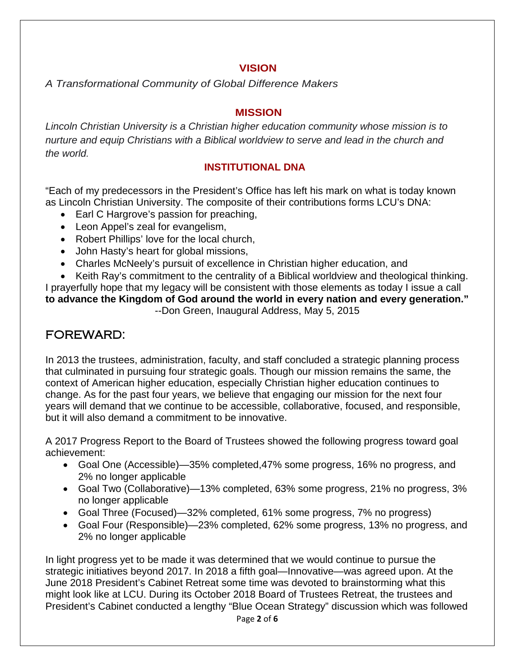#### **VISION**

*A Transformational Community of Global Difference Makers*

#### **MISSION**

*Lincoln Christian University is a Christian higher education community whose mission is to nurture and equip Christians with a Biblical worldview to serve and lead in the church and the world.*

### **INSTITUTIONAL DNA**

"Each of my predecessors in the President's Office has left his mark on what is today known as Lincoln Christian University. The composite of their contributions forms LCU's DNA:

- Earl C Hargrove's passion for preaching,
- Leon Appel's zeal for evangelism,
- Robert Phillips' love for the local church,
- John Hasty's heart for global missions,
- Charles McNeely's pursuit of excellence in Christian higher education, and

• Keith Ray's commitment to the centrality of a Biblical worldview and theological thinking. I prayerfully hope that my legacy will be consistent with those elements as today I issue a call **to advance the Kingdom of God around the world in every nation and every generation."**  --Don Green, Inaugural Address, May 5, 2015

# FOREWARD:

In 2013 the trustees, administration, faculty, and staff concluded a strategic planning process that culminated in pursuing four strategic goals. Though our mission remains the same, the context of American higher education, especially Christian higher education continues to change. As for the past four years, we believe that engaging our mission for the next four years will demand that we continue to be accessible, collaborative, focused, and responsible, but it will also demand a commitment to be innovative.

A 2017 Progress Report to the Board of Trustees showed the following progress toward goal achievement:

- Goal One (Accessible)—35% completed,47% some progress, 16% no progress, and 2% no longer applicable
- Goal Two (Collaborative)—13% completed, 63% some progress, 21% no progress, 3% no longer applicable
- Goal Three (Focused)—32% completed, 61% some progress, 7% no progress)
- Goal Four (Responsible)—23% completed, 62% some progress, 13% no progress, and 2% no longer applicable

In light progress yet to be made it was determined that we would continue to pursue the strategic initiatives beyond 2017. In 2018 a fifth goal—Innovative—was agreed upon. At the June 2018 President's Cabinet Retreat some time was devoted to brainstorming what this might look like at LCU. During its October 2018 Board of Trustees Retreat, the trustees and President's Cabinet conducted a lengthy "Blue Ocean Strategy" discussion which was followed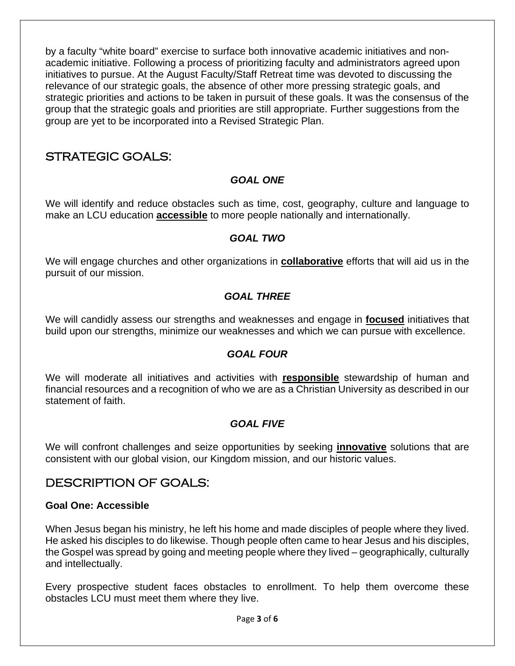by a faculty "white board" exercise to surface both innovative academic initiatives and nonacademic initiative. Following a process of prioritizing faculty and administrators agreed upon initiatives to pursue. At the August Faculty/Staff Retreat time was devoted to discussing the relevance of our strategic goals, the absence of other more pressing strategic goals, and strategic priorities and actions to be taken in pursuit of these goals. It was the consensus of the group that the strategic goals and priorities are still appropriate. Further suggestions from the group are yet to be incorporated into a Revised Strategic Plan.

## STRATEGIC GOALS:

#### *GOAL ONE*

We will identify and reduce obstacles such as time, cost, geography, culture and language to make an LCU education **accessible** to more people nationally and internationally.

#### *GOAL TWO*

We will engage churches and other organizations in **collaborative** efforts that will aid us in the pursuit of our mission.

### *GOAL THREE*

We will candidly assess our strengths and weaknesses and engage in **focused** initiatives that build upon our strengths, minimize our weaknesses and which we can pursue with excellence.

#### *GOAL FOUR*

We will moderate all initiatives and activities with **responsible** stewardship of human and financial resources and a recognition of who we are as a Christian University as described in our statement of faith.

#### *GOAL FIVE*

We will confront challenges and seize opportunities by seeking **innovative** solutions that are consistent with our global vision, our Kingdom mission, and our historic values.

## DESCRIPTION OF GOALS:

#### **Goal One: Accessible**

When Jesus began his ministry, he left his home and made disciples of people where they lived. He asked his disciples to do likewise. Though people often came to hear Jesus and his disciples, the Gospel was spread by going and meeting people where they lived – geographically, culturally and intellectually.

Every prospective student faces obstacles to enrollment. To help them overcome these obstacles LCU must meet them where they live.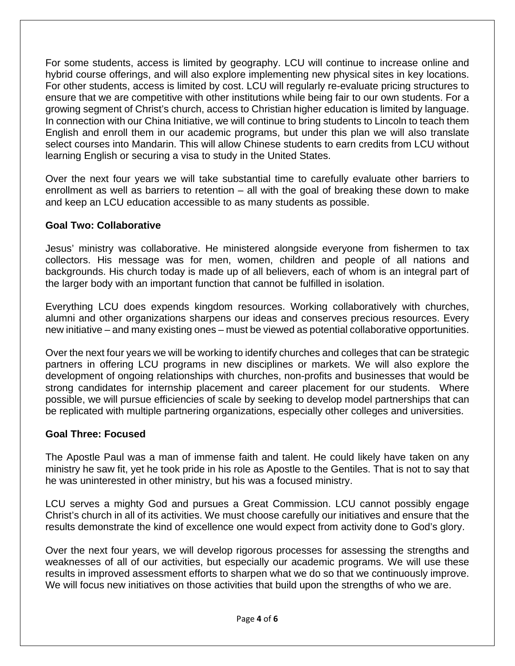For some students, access is limited by geography. LCU will continue to increase online and hybrid course offerings, and will also explore implementing new physical sites in key locations. For other students, access is limited by cost. LCU will regularly re-evaluate pricing structures to ensure that we are competitive with other institutions while being fair to our own students. For a growing segment of Christ's church, access to Christian higher education is limited by language. In connection with our China Initiative, we will continue to bring students to Lincoln to teach them English and enroll them in our academic programs, but under this plan we will also translate select courses into Mandarin. This will allow Chinese students to earn credits from LCU without learning English or securing a visa to study in the United States.

Over the next four years we will take substantial time to carefully evaluate other barriers to enrollment as well as barriers to retention – all with the goal of breaking these down to make and keep an LCU education accessible to as many students as possible.

#### **Goal Two: Collaborative**

Jesus' ministry was collaborative. He ministered alongside everyone from fishermen to tax collectors. His message was for men, women, children and people of all nations and backgrounds. His church today is made up of all believers, each of whom is an integral part of the larger body with an important function that cannot be fulfilled in isolation.

Everything LCU does expends kingdom resources. Working collaboratively with churches, alumni and other organizations sharpens our ideas and conserves precious resources. Every new initiative – and many existing ones – must be viewed as potential collaborative opportunities.

Over the next four years we will be working to identify churches and colleges that can be strategic partners in offering LCU programs in new disciplines or markets. We will also explore the development of ongoing relationships with churches, non-profits and businesses that would be strong candidates for internship placement and career placement for our students. Where possible, we will pursue efficiencies of scale by seeking to develop model partnerships that can be replicated with multiple partnering organizations, especially other colleges and universities.

#### **Goal Three: Focused**

The Apostle Paul was a man of immense faith and talent. He could likely have taken on any ministry he saw fit, yet he took pride in his role as Apostle to the Gentiles. That is not to say that he was uninterested in other ministry, but his was a focused ministry.

LCU serves a mighty God and pursues a Great Commission. LCU cannot possibly engage Christ's church in all of its activities. We must choose carefully our initiatives and ensure that the results demonstrate the kind of excellence one would expect from activity done to God's glory.

Over the next four years, we will develop rigorous processes for assessing the strengths and weaknesses of all of our activities, but especially our academic programs. We will use these results in improved assessment efforts to sharpen what we do so that we continuously improve. We will focus new initiatives on those activities that build upon the strengths of who we are.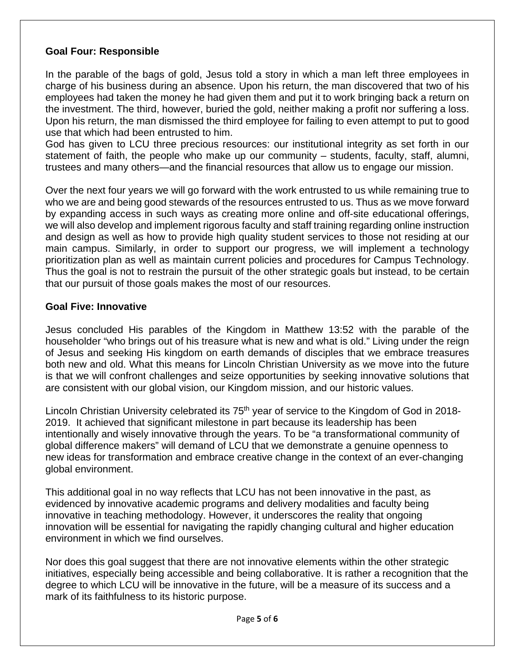#### **Goal Four: Responsible**

In the parable of the bags of gold, Jesus told a story in which a man left three employees in charge of his business during an absence. Upon his return, the man discovered that two of his employees had taken the money he had given them and put it to work bringing back a return on the investment. The third, however, buried the gold, neither making a profit nor suffering a loss. Upon his return, the man dismissed the third employee for failing to even attempt to put to good use that which had been entrusted to him.

God has given to LCU three precious resources: our institutional integrity as set forth in our statement of faith, the people who make up our community – students, faculty, staff, alumni, trustees and many others—and the financial resources that allow us to engage our mission.

Over the next four years we will go forward with the work entrusted to us while remaining true to who we are and being good stewards of the resources entrusted to us. Thus as we move forward by expanding access in such ways as creating more online and off-site educational offerings, we will also develop and implement rigorous faculty and staff training regarding online instruction and design as well as how to provide high quality student services to those not residing at our main campus. Similarly, in order to support our progress, we will implement a technology prioritization plan as well as maintain current policies and procedures for Campus Technology. Thus the goal is not to restrain the pursuit of the other strategic goals but instead, to be certain that our pursuit of those goals makes the most of our resources.

#### **Goal Five: Innovative**

Jesus concluded His parables of the Kingdom in Matthew 13:52 with the parable of the householder "who brings out of his treasure what is new and what is old." Living under the reign of Jesus and seeking His kingdom on earth demands of disciples that we embrace treasures both new and old. What this means for Lincoln Christian University as we move into the future is that we will confront challenges and seize opportunities by seeking innovative solutions that are consistent with our global vision, our Kingdom mission, and our historic values.

Lincoln Christian University celebrated its 75<sup>th</sup> year of service to the Kingdom of God in 2018-2019. It achieved that significant milestone in part because its leadership has been intentionally and wisely innovative through the years. To be "a transformational community of global difference makers" will demand of LCU that we demonstrate a genuine openness to new ideas for transformation and embrace creative change in the context of an ever-changing global environment.

This additional goal in no way reflects that LCU has not been innovative in the past, as evidenced by innovative academic programs and delivery modalities and faculty being innovative in teaching methodology. However, it underscores the reality that ongoing innovation will be essential for navigating the rapidly changing cultural and higher education environment in which we find ourselves.

Nor does this goal suggest that there are not innovative elements within the other strategic initiatives, especially being accessible and being collaborative. It is rather a recognition that the degree to which LCU will be innovative in the future, will be a measure of its success and a mark of its faithfulness to its historic purpose.